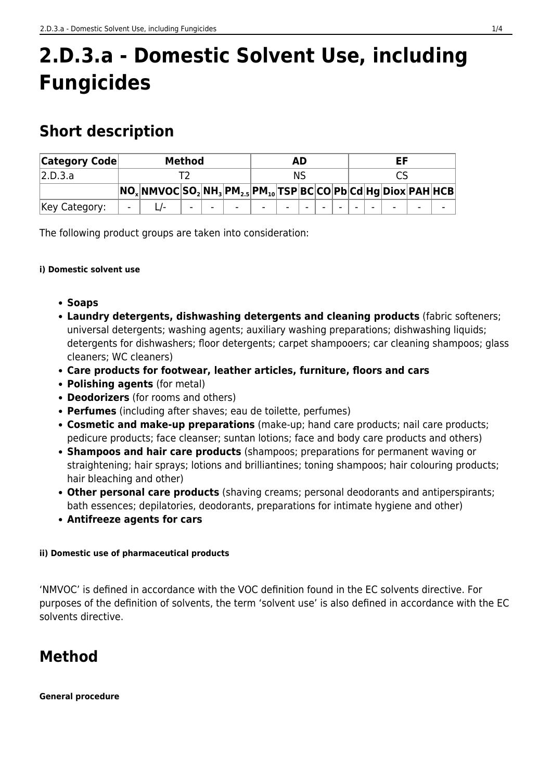# **2.D.3.a - Domestic Solvent Use, including Fungicides**

# **Short description**

| <b>Category Code</b> | Method |                                                                               |        |  |                          | AD     |        |  |  |  | EF |  |                          |                          |                          |
|----------------------|--------|-------------------------------------------------------------------------------|--------|--|--------------------------|--------|--------|--|--|--|----|--|--------------------------|--------------------------|--------------------------|
| 2.D.3.a              |        |                                                                               |        |  |                          | NS     |        |  |  |  |    |  |                          |                          |                          |
|                      |        | $ NO_x $ NMVOC $ SO_2 NH_3 PM_{2.5} PM_{10} TSP BC CO Pb Cd Hg Diox PAH HCB $ |        |  |                          |        |        |  |  |  |    |  |                          |                          |                          |
| Key Category:        | -      |                                                                               | $\sim$ |  | $\overline{\phantom{0}}$ | $\sim$ | $\sim$ |  |  |  |    |  | $\overline{\phantom{0}}$ | $\overline{\phantom{a}}$ | $\overline{\phantom{a}}$ |

The following product groups are taken into consideration:

#### **i) Domestic solvent use**

- **Soaps**
- **Laundry detergents, dishwashing detergents and cleaning products** (fabric softeners; universal detergents; washing agents; auxiliary washing preparations; dishwashing liquids; detergents for dishwashers; floor detergents; carpet shampooers; car cleaning shampoos; glass cleaners; WC cleaners)
- **Care products for footwear, leather articles, furniture, floors and cars**
- **Polishing agents** (for metal)
- **Deodorizers** (for rooms and others)
- **Perfumes** (including after shaves; eau de toilette, perfumes)
- **Cosmetic and make-up preparations** (make-up; hand care products; nail care products; pedicure products; face cleanser; suntan lotions; face and body care products and others)
- **Shampoos and hair care products** (shampoos; preparations for permanent waving or straightening; hair sprays; lotions and brilliantines; toning shampoos; hair colouring products; hair bleaching and other)
- **Other personal care products** (shaving creams; personal deodorants and antiperspirants; bath essences; depilatories, deodorants, preparations for intimate hygiene and other)
- **Antifreeze agents for cars**

#### **ii) Domestic use of pharmaceutical products**

'NMVOC' is defined in accordance with the VOC definition found in the EC solvents directive. For purposes of the definition of solvents, the term 'solvent use' is also defined in accordance with the EC solvents directive.

# **Method**

**General procedure**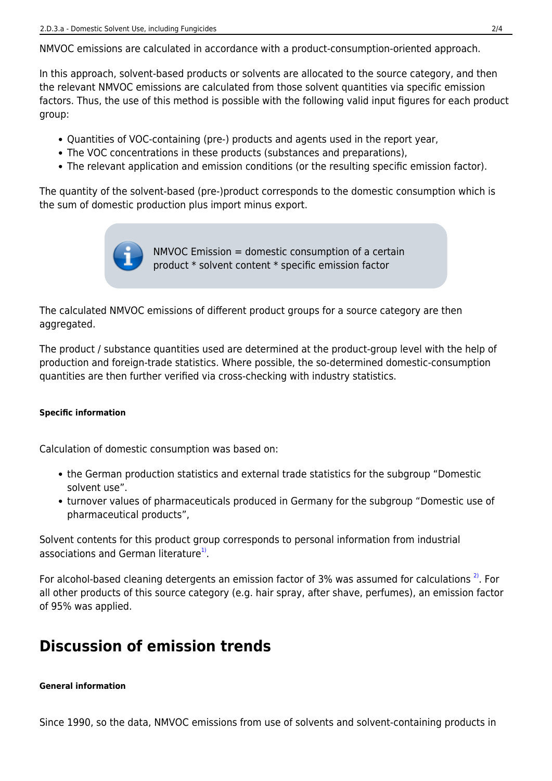NMVOC emissions are calculated in accordance with a product-consumption-oriented approach.

In this approach, solvent-based products or solvents are allocated to the source category, and then the relevant NMVOC emissions are calculated from those solvent quantities via specific emission factors. Thus, the use of this method is possible with the following valid input figures for each product group:

- Quantities of VOC-containing (pre-) products and agents used in the report year,
- The VOC concentrations in these products (substances and preparations),
- The relevant application and emission conditions (or the resulting specific emission factor).

The quantity of the solvent-based (pre-)product corresponds to the domestic consumption which is the sum of domestic production plus import minus export.



The calculated NMVOC emissions of different product groups for a source category are then aggregated.

The product / substance quantities used are determined at the product-group level with the help of production and foreign-trade statistics. Where possible, the so-determined domestic-consumption quantities are then further verified via cross-checking with industry statistics.

#### **Specific information**

Calculation of domestic consumption was based on:

- the German production statistics and external trade statistics for the subgroup "Domestic solvent use".
- turnover values of pharmaceuticals produced in Germany for the subgroup "Domestic use of pharmaceutical products",

<span id="page-1-0"></span>Solvent contents for this product group corresponds to personal information from industrial associations and German literature<sup>1</sup>.

<span id="page-1-1"></span>For alcohol-based cleaning detergents an emission factor of 3% was assumed for calculations<sup>2</sup>. For all other products of this source category (e.g. hair spray, after shave, perfumes), an emission factor of 95% was applied.

# **Discussion of emission trends**

#### **General information**

Since 1990, so the data, NMVOC emissions from use of solvents and solvent-containing products in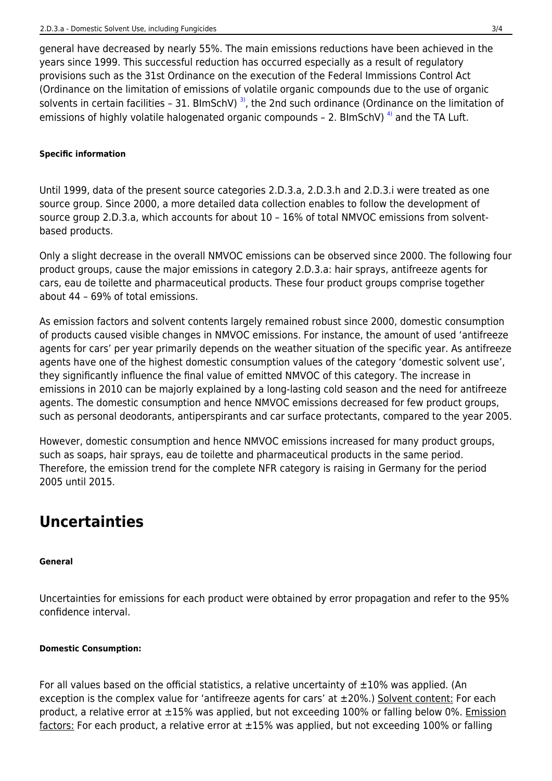general have decreased by nearly 55%. The main emissions reductions have been achieved in the years since 1999. This successful reduction has occurred especially as a result of regulatory provisions such as the 31st Ordinance on the execution of the Federal Immissions Control Act (Ordinance on the limitation of emissions of volatile organic compounds due to the use of organic solvents in certain facilities - 31. BlmSchV)<sup>3</sup>, the 2nd such ordinance (Ordinance on the limitation of emissions of highly volatile halogenated organic compounds - 2. BlmSchV)<sup>4</sup> and the TA Luft.

#### <span id="page-2-1"></span><span id="page-2-0"></span>**Specific information**

Until 1999, data of the present source categories 2.D.3.a, 2.D.3.h and 2.D.3.i were treated as one source group. Since 2000, a more detailed data collection enables to follow the development of source group 2.D.3.a, which accounts for about 10 – 16% of total NMVOC emissions from solventbased products.

Only a slight decrease in the overall NMVOC emissions can be observed since 2000. The following four product groups, cause the major emissions in category 2.D.3.a: hair sprays, antifreeze agents for cars, eau de toilette and pharmaceutical products. These four product groups comprise together about 44 – 69% of total emissions.

As emission factors and solvent contents largely remained robust since 2000, domestic consumption of products caused visible changes in NMVOC emissions. For instance, the amount of used 'antifreeze agents for cars' per year primarily depends on the weather situation of the specific year. As antifreeze agents have one of the highest domestic consumption values of the category 'domestic solvent use', they significantly influence the final value of emitted NMVOC of this category. The increase in emissions in 2010 can be majorly explained by a long-lasting cold season and the need for antifreeze agents. The domestic consumption and hence NMVOC emissions decreased for few product groups, such as personal deodorants, antiperspirants and car surface protectants, compared to the year 2005.

However, domestic consumption and hence NMVOC emissions increased for many product groups, such as soaps, hair sprays, eau de toilette and pharmaceutical products in the same period. Therefore, the emission trend for the complete NFR category is raising in Germany for the period 2005 until 2015.

# **Uncertainties**

#### **General**

Uncertainties for emissions for each product were obtained by error propagation and refer to the 95% confidence interval.

#### **Domestic Consumption:**

For all values based on the official statistics, a relative uncertainty of  $\pm 10\%$  was applied. (An exception is the complex value for 'antifreeze agents for cars' at  $\pm 20\%$ .) Solvent content: For each product, a relative error at ±15% was applied, but not exceeding 100% or falling below 0%. Emission factors: For each product, a relative error at  $\pm 15%$  was applied, but not exceeding 100% or falling